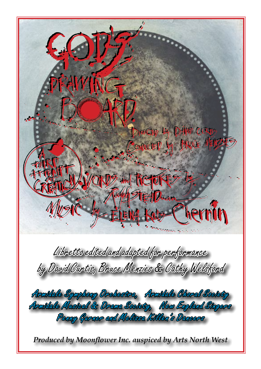DIRECTOR LY DHAND CURTIS Conqueter by LikeCE MENZ REFOR **TEALOR** hernin Libretto edited and adapted for performance by David Curtis, Bruce Menzies & Cathy Welsford Armidale Symphony Orchestra, Armidale Choral Society Armidale Musical & Drama Society, New England Singers Penny Gurner and Melissa Killen's Dancers *Produced by Moonflower Inc. auspiced by Arts North West*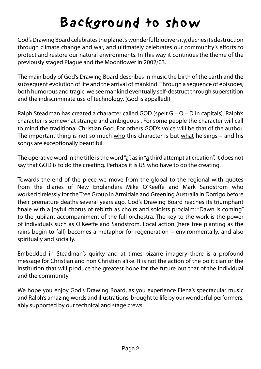# Background to show

God's Drawing Board celebrates the planet's wonderful biodiversity, decries its destruction through climate change and war, and ultimately celebrates our community's efforts to protect and restore our natural environments. In this way it continues the theme of the previously staged Plague and the Moonflower in 2002/03.

The main body of God's Drawing Board describes in music the birth of the earth and the subsequent evolution of life and the arrival of mankind. Through a sequence of episodes, both humorous and tragic, we see mankind eventually self-destruct through superstition and the indiscriminate use of technology. (God is appalled!)

Ralph Steadman has created a character called GOD (spelt G – O – D in capitals). Ralph's character is somewhat strange and ambiguous . For some people the character will call to mind the traditional Christian God. For others GOD's voice will be that of the author. The important thing is not so much who this character is but what he sings – and his songs are exceptionally beautiful.

The operative word in the title is the word " $a$ ", as in "a third attempt at creation". It does not say that GOD is to do the creating. Perhaps it is US who have to do the creating.

Towards the end of the piece we move from the global to the regional with quotes from the diaries of New Englanders Mike O'Keeffe and Mark Sandstrom who worked tirelessly for the Tree Group in Armidale and Greening Australia in Dorrigo before their premature deaths several years ago. God's Drawing Board reaches its triumphant finale with a joyful chorus of rebirth as choirs and soloists proclaim: "Dawn is coming" to the jubilant accompaniment of the full orchestra. The key to the work is the power of individuals such as O'Keeffe and Sandstrom. Local action (here tree planting as the rains begin to fall) becomes a metaphor for regeneration – environmentally, and also spiritually and socially.

Embedded in Steadman's quirky and at times bizarre imagery there is a profound message for Christian and non Christian alike. It is not the action of the politician or the institution that will produce the greatest hope for the future but that of the individual and the community.

We hope you enjoy God's Drawing Board, as you experience Elena's spectacular music and Ralph's amazing words and illustrations, brought to life by our wonderful performers, ably supported by our technical and stage crews.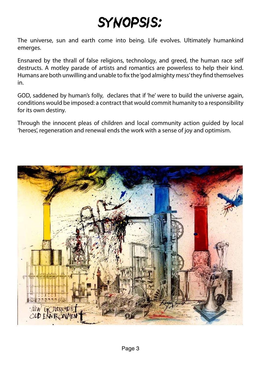# SYNOPSIS:

The universe, sun and earth come into being. Life evolves. Ultimately humankind emerges.

Ensnared by the thrall of false religions, technology, and greed, the human race self destructs. A motley parade of artists and romantics are powerless to help their kind. Humans are both unwilling and unable to fix the 'god almighty mess' they find themselves in.

GOD, saddened by human's folly, declares that if 'he' were to build the universe again, conditions would be imposed: a contract that would commit humanity to a responsibility for its own destiny.

Through the innocent pleas of children and local community action guided by local 'heroes', regeneration and renewal ends the work with a sense of joy and optimism.

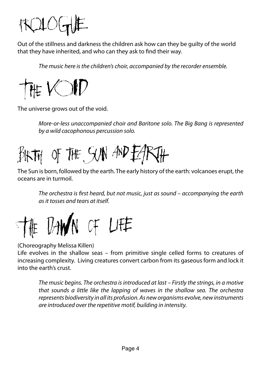

Out of the stillness and darkness the children ask how can they be guilty of the world that they have inherited, and who can they ask to find their way.

The music here is the children's choir, accompanied by the recorder ensemble.



The universe grows out of the void.

More-or-less unaccompanied choir and Baritone solo. The Big Bang is represented by a wild cacophonous percussion solo.

BIKTH OF THE SUN AND EARTH

The Sun is born, followed by the earth. The early history of the earth: volcanoes erupt, the oceans are in turmoil.

The orchestra is first heard, but not music, just as sound  $-$  accompanying the earth as it tosses and tears at itself.



#### (Choreography Melissa Killen)

Life evolves in the shallow seas – from primitive single celled forms to creatures of increasing complexity. Living creatures convert carbon from its gaseous form and lock it into the earth's crust.

The music begins. The orchestra is introduced at last – Firstly the strings, in a motive that sounds a little like the lapping of waves in the shallow sea. The orchestra represents biodiversity in all its profusion. As new organisms evolve, new instruments are introduced over the repetitive motif, building in intensity.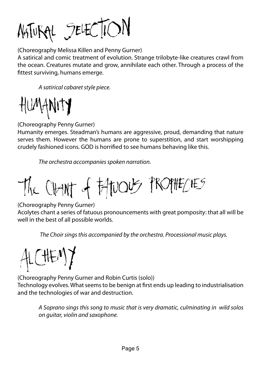NATURAL SELECTION

(Choreography Melissa Killen and Penny Gurner)

A satirical and comic treatment of evolution. Strange trilobyte-like creatures crawl from the ocean. Creatures mutate and grow, annihilate each other. Through a process of the fittest surviving, humans emerge.

A satirical cabaret style piece.

HUMANITY

(Choreography Penny Gurner)

Humanity emerges. Steadman's humans are aggressive, proud, demanding that nature serves them. However the humans are prone to superstition, and start worshipping crudely fashioned icons. GOD is horrified to see humans behaving like this.

The orchestra accompanies spoken narration.

The CHANT of FATUOUS PROPHECIES

(Choreography Penny Gurner)

Acolytes chant a series of fatuous pronouncements with great pomposity: that all will be well in the best of all possible worlds.

The Choir sings this accompanied by the orchestra. Processional music plays.



(Choreography Penny Gurner and Robin Curtis (solo))

Technology evolves. What seems to be benign at first ends up leading to industrialisation and the technologies of war and destruction.

A Soprano sings this song to music that is very dramatic, culminating in wild solos on guitar, violin and saxophone.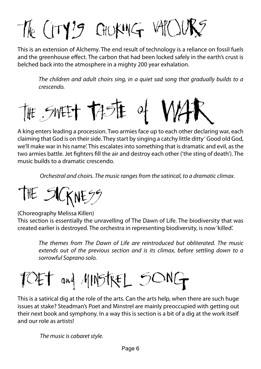# The CITY'S GIORNG WILLING

This is an extension of Alchemy. The end result of technology is a reliance on fossil fuels and the greenhouse effect. The carbon that had been locked safely in the earth's crust is belched back into the atmosphere in a mighty 200 year exhalation.

The children and adult choirs sing, in a quiet sad song that gradually builds to a crescendo.



A king enters leading a procession. Two armies face up to each other declaring war, each claiming that God is on their side. They start by singing a catchy little ditty ' Good old God, we'll make war in his name'. This escalates into something that is dramatic and evil, as the two armies battle. Jet fighters fill the air and destroy each other ('the sting of death'). The music builds to a dramatic crescendo.

Orchestral and choirs. The music ranges from the satirical, to a dramatic climax.

THE SICKNESS

(Choreography Melissa Killen)

This section is essentially the unravelling of The Dawn of Life. The biodiversity that was created earlier is destroyed. The orchestra in representing biodiversity, is now 'killed'.

The themes from The Dawn of Life are reintroduced but obliterated. The music extends out of the previous section and is its climax, before settling down to a sorrowful Soprano solo.

# TOET and MINSTREL SONG

This is a satirical dig at the role of the arts. Can the arts help, when there are such huge issues at stake? Steadman's Poet and Minstrel are mainly preoccupied with getting out their next book and symphony. In a way this is section is a bit of a dig at the work itself and our role as artists!

The music is cabaret style.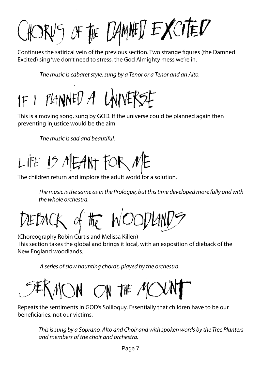HORVS OF THE DAMAED EXCITED

Continues the satirical vein of the previous section. Two strange figures (the Damned Excited) sing 'we don't need to stress, the God Almighty mess we're in.

The music is cabaret style, sung by a Tenor or a Tenor and an Alto.

# IF I PLANNED A UNIVERSE

This is a moving song, sung by GOD. If the universe could be planned again then preventing injustice would be the aim.

The music is sad and beautiful.

LIFE 15 MEANT FOR ME

The children return and implore the adult world for a solution.

The music is the same as in the Prologue, but this time developed more fully and with the whole orchestra.

DIEBACK of the WOODLANDS

(Choreography Robin Curtis and Melissa Killen) This section takes the global and brings it local, with an exposition of dieback of the New England woodlands.

A series of slow haunting chords, played by the orchestra.

5‡RMON ON T# MOU

Repeats the sentiments in GOD's Soliloquy. Essentially that children have to be our beneficiaries, not our victims.

This is sung by a Soprano, Alto and Choir and with spoken words by the Tree Planters and members of the choir and orchestra.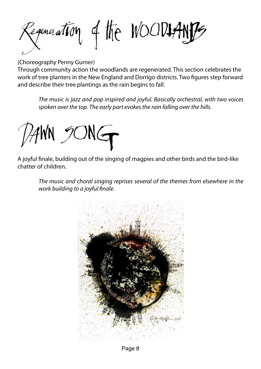Regeneration of the WOOD17AN

(Choreography Penny Gurner)

Through community action the woodlands are regenerated. This section celebrates the work of tree planters in the New England and Dorrigo districts. Two figures step forward and describe their tree plantings as the rain begins to fall.

The music is jazz and pop inspired and joyful. Basically orchestral, with two voices spoken over the top. The early part evokes the rain falling over the hills.

 $N$  SONG

A joyful finale, building out of the singing of magpies and other birds and the bird-like chatter of children.

The music and choral singing reprises several of the themes from elsewhere in the work building to a joyful finale.



Page 8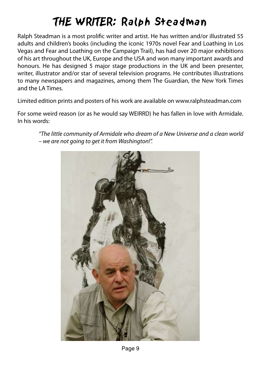## THE WRITER: Ralph Steadman

Ralph Steadman is a most prolific writer and artist. He has written and/or illustrated 55 adults and children's books (including the iconic 1970s novel Fear and Loathing in Los Vegas and Fear and Loathing on the Campaign Trail), has had over 20 major exhibitions of his art throughout the UK, Europe and the USA and won many important awards and honours. He has designed 5 major stage productions in the UK and been presenter. writer, illustrator and/or star of several television programs. He contributes illustrations to many newspapers and magazines, among them The Guardian, the New York Times and the LA Times.

Limited edition prints and posters of his work are available on www.ralphsteadman.com

For some weird reason (or as he would say WEIRRD) he has fallen in love with Armidale. In his words:

"The little community of Armidale who dream of a New Universe and a clean world – we are not going to get it from Washington!".

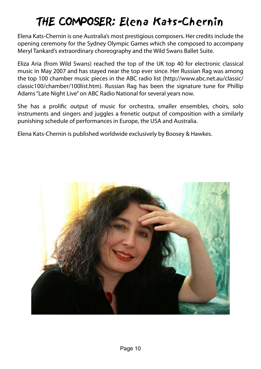## THE COMPOSER: Elena Kats-Chernin

Elena Kats-Chernin is one Australia's most prestigious composers. Her credits include the opening ceremony for the Sydney Olympic Games which she composed to accompany Meryl Tankard's extraordinary choreography and the Wild Swans Ballet Suite.

Eliza Aria (from Wild Swans) reached the top of the UK top 40 for electronic classical music in May 2007 and has stayed near the top ever since. Her Russian Rag was among the top 100 chamber music pieces in the ABC radio list (http://www.abc.net.au/classic/ classic100/chamber/100list.htm). Russian Rag has been the signature tune for Phillip Adams "Late Night Live" on ABC Radio National for several years now.

She has a prolific output of music for orchestra, smaller ensembles, choirs, solo instruments and singers and juggles a frenetic output of composition with a similarly punishing schedule of performances in Europe, the USA and Australia.

Elena Kats-Chernin is published worldwide exclusively by Boosey & Hawkes.

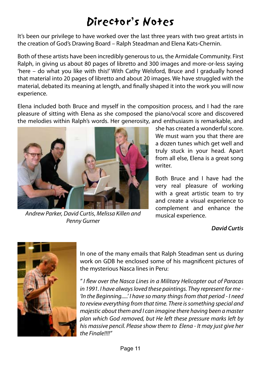## Director's Notes

It's been our privilege to have worked over the last three years with two great artists in the creation of God's Drawing Board – Ralph Steadman and Elena Kats-Chernin.

Both of these artists have been incredibly generous to us, the Armidale Community. First Ralph, in giving us about 80 pages of libretto and 300 images and more-or-less saying 'here – do what you like with this!' With Cathy Welsford, Bruce and I gradually honed that material into 20 pages of libretto and about 20 images. We have struggled with the material, debated its meaning at length, and finally shaped it into the work you will now experience.

Elena included both Bruce and myself in the composition process, and I had the rare pleasure of sitting with Elena as she composed the piano/vocal score and discovered the melodies within Ralph's words. Her generosity, and enthusiasm is remarkable, and



Andrew Parker, David Curtis, Melissa Killen and Penny Gurner

she has created a wonderful score. We must warn you that there are a dozen tunes which get well and truly stuck in your head. Apart from all else, Elena is a great song writer.

Both Bruce and I have had the very real pleasure of working with a great artistic team to try and create a visual experience to complement and enhance the musical experience.

#### **David Curtis**



In one of the many emails that Ralph Steadman sent us during work on GDB he enclosed some of his magnificent pictures of the mysterious Nasca lines in Peru:

" I flew over the Nasca Lines in a Military Helicopter out of Paracas in 1991. I have always loved these paintings. They represent for me - 'In the Beginning.....' I have so many things from that period - I need to review everything from that time. There is something special and majestic about them and I can imagine there having been a master plan which God removed, but He left these pressure marks left by his massive pencil. Please show them to Elena - It may just give her the Finale!!!!"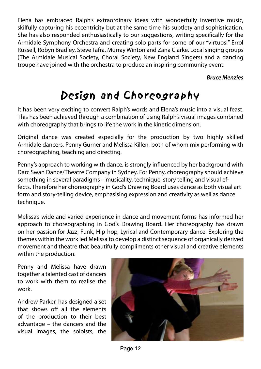Elena has embraced Ralph's extraordinary ideas with wonderfully inventive music, skilfully capturing his eccentricity but at the same time his subtlety and sophistication. She has also responded enthusiastically to our suggestions, writing specifically for the Armidale Symphony Orchestra and creating solo parts for some of our "virtuosi" Errol Russell, Robyn Bradley, Steve Tafra, Murray Winton and Zana Clarke. Local singing groups (The Armidale Musical Society, Choral Society, New England Singers) and a dancing troupe have joined with the orchestra to produce an inspiring community event.

#### **Bruce Menzies**

### Design and Choreography

It has been very exciting to convert Ralph's words and Elena's music into a visual feast. This has been achieved through a combination of using Ralph's visual images combined with choreography that brings to life the work in the kinetic dimension.

Original dance was created especially for the production by two highly skilled Armidale dancers, Penny Gurner and Melissa Killen, both of whom mix performing with choreographing, teaching and directing.

Penny's approach to working with dance, is strongly influenced by her background with Darc Swan Dance/Theatre Company in Sydney. For Penny, choreography should achieve something in several paradigms – musicality, technique, story telling and visual effects. Therefore her choreography in God's Drawing Board uses dance as both visual art form and story-telling device, emphasising expression and creativity as well as dance technique.

Melissa's wide and varied experience in dance and movement forms has informed her approach to choreographing in God's Drawing Board. Her choreography has drawn on her passion for Jazz, Funk, Hip-hop, Lyrical and Contemporary dance. Exploring the themes within the work led Melissa to develop a distinct sequence of organically derived movement and theatre that beautifully compliments other visual and creative elements within the production.

Penny and Melissa have drawn together a talented cast of dancers to work with them to realise the work.

Andrew Parker, has designed a set that shows off all the elements of the production to their best advantage – the dancers and the visual images, the soloists, the



Page 12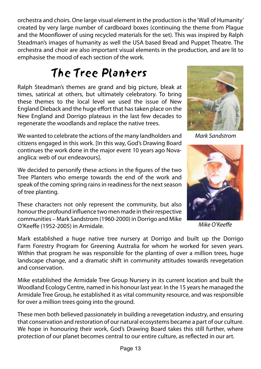orchestra and choirs. One large visual element in the production is the 'Wall of Humanity' created by very large number of cardboard boxes (continuing the theme from Plague and the Moonflower of using recycled materials for the set). This was inspired by Ralph Steadman's images of humanity as well the USA based Bread and Puppet Theatre. The orchestra and choir are also important visual elements in the production, and are lit to emphasise the mood of each section of the work.

## The Tree Planters

Ralph Steadman's themes are grand and big picture, bleak at times, satirical at others, but ultimately celebratory. To bring these themes to the local level we used the issue of New England Dieback and the huge effort that has taken place on the New England and Dorrigo plateaus in the last few decades to regenerate the woodlands and replace the native trees.

We wanted to celebrate the actions of the many landholders and citizens engaged in this work. [In this way, God's Drawing Board continues the work done in the major event 10 years ago Novaanglica: web of our endeavours].

We decided to personify these actions in the figures of the two Tree Planters who emerge towards the end of the work and speak of the coming spring rains in readiness for the next season of tree planting.

These characters not only represent the community, but also honour the profound influence two men made in their respective communities – Mark Sandstrom (1960-2000) in Dorrigo and Mike O'Keeffe (1952-2005) in Armidale.

Mark Sandstrom



Mike O'Keeffe

Mark established a huge native tree nursery at Dorrigo and built up the Dorrigo Farm Forestry Program for Greening Australia for whom he worked for seven years. Within that program he was responsible for the planting of over a million trees, huge landscape change, and a dramatic shift in community attitudes towards revegetation and conservation.

Mike established the Armidale Tree Group Nursery in its current location and built the Woodland Ecology Centre, named in his honour last year. In the 15 years he managed the Armidale Tree Group, he established it as vital community resource, and was responsible for over a million trees going into the ground.

These men both believed passionately in building a revegetation industry, and ensuring that conservation and restoration of our natural ecosystems became a part of our culture. We hope in honouring their work, God's Drawing Board takes this still further, where protection of our planet becomes central to our entire culture, as reflected in our art.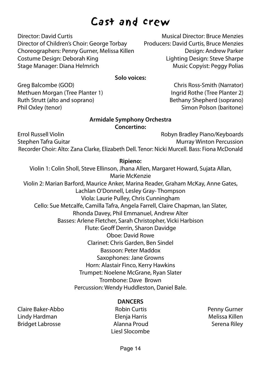### Cast and crew

Director: David Curtis Musical Director: Bruce Menzies Director of Children's Choir: George Torbay Producers: David Curtis, Bruce Menzies Choreographers: Penny Gurner, Melissa Killen Design: Andrew Parker Costume Design: Deborah King Lighting Design: Steve Sharpe Stage Manager: Diana Helmrich Music Copyist: Peggy Polias

**Solo voices:**

Greg Balcombe (GOD) Chris Ross-Smith (Narrator) Methuen Morgan (Tree Planter 1) Ingrid Rothe (Tree Planter 2) Ruth Strutt (alto and soprano) Bethany Shepherd (soprano) Phil Oxley (tenor) Simon Polson (baritone)

#### **Armidale Symphony Orchestra Concertino:**

Errol Russell Violin Robyn Bradley Piano/Keyboards Stephen Tafra Guitar Murray Winton Percussion Recorder Choir: Alto: Zana Clarke, Elizabeth Dell. Tenor: Nicki Murcell. Bass: Fiona McDonald

#### **Ripieno:**

Violin 1: Colin Sholl, Steve Ellinson, Jhana Allen, Margaret Howard, Sujata Allan, Marie McKenzie Violin 2: Marian Barford, Maurice Anker, Marina Reader, Graham McKay, Anne Gates, Lachlan O'Donnell, Lesley Gray- Thompson Viola: Laurie Pulley, Chris Cunningham Cello: Sue Metcalfe, Camilla Tafra, Angela Farrell, Claire Chapman, Ian Slater, Rhonda Davey, Phil Emmanuel, Andrew Alter Basses: Arlene Fletcher, Sarah Christopher, Vicki Harbison Flute: Geoff Derrin, Sharon Davidge Oboe: David Rowe Clarinet: Chris Garden, Ben Sindel Bassoon: Peter Maddox Saxophones: Jane Growns Horn: Alastair Finco, Kerry Hawkins Trumpet: Noelene McGrane, Ryan Slater Trombone: Dave Brown Percussion: Wendy Huddleston, Daniel Bale.

#### **DANCERS**

Claire Baker-Abbo Robin Curtis Penny Gurner Lindy Hardman Elenja Harris Melissa Killen Bridget Labrosse **Alanna Proud** Serena Riley

Liesl Slocombe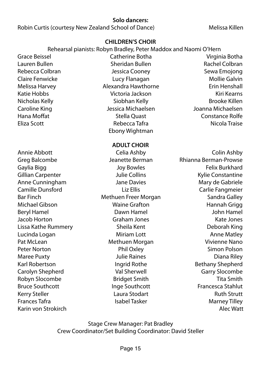#### **Solo dancers:**

Robin Curtis (courtesy New Zealand School of Dance) Melissa Killen

#### **CHILDREN'S CHOIR**

#### Rehearsal pianists: Robyn Bradley, Peter Maddox and Naomi O'Hern

Lauren Bullen Sheridan Bullen Rachel Colbran Rebecca Colbran Theory Cooney Sewa Emojong Cooney Claire Fenwicke Lucy Flanagan Mollie Galvin Melissa Harvey Alexandra Hawthorne Erin Henshall Katie Hobbs Victoria Jackson Kiri Kearns Nicholas Kelly Siobhan Kelly Brooke Killen Caroline King Jessica Michaelsen Joanna Michaelsen Hana Moffat **Stella Quast** Constance Rolfe Eliza Scott Rebecca Tafra Nicola Traise Ebony Wightman

Annie Abbott Celia Ashby Colin Ashby Greg Balcombe Jeanette Berman Rhianna Berman-Prowse Gaylia Bigg November 2012 Joy Bowles Felix Burkhard Gillian Carpenter The State of Julie Collins The State Constantine Kylie Constantine Anne Cunningham Jane Davies Mary de Gabriele Camille Dunsford Liz Ellis Carlie Fangmeier Bar Finch **Methuen Freer Morgan** Sandra Galley Michael Gibson Waine Grafton Hannah Grigg Beryl Hamel Dawn Hamel John Hamel Jacob Horton Graham Jones Kate Jones Lissa Kathe Rummery Sheila Kent Deborah King Lucinda Logan **Miriam Lott** Anne Matley **Anne Matley** Pat McLean **Methuen Morgan** Vivienne Nano Peter Norton **Phil Oxley Simon Polson** Phil Oxley **Peter Norton** Polson Maree Puxty **National Community** Julie Raines **Community Community Diana Riley** Karl Robertson **Ingrid Rothe** Bethany Shepherd Carolyn Shepherd Val Sherwell Garry Slocombe Robyn Slocombe **Bridget Smith** Bridget Smith Tita Smith Bruce Southcott **Inge Southcott** Francesca Stahlut Kerry Steller **Communist Communist Communist Communist Communist Communist Communist Communist Communist Communist Communist Communist Communist Communist Communist Communist Communist Communist Communist Communist Communi Frances Tafra** Islabel Tasker Marney Tilley Marney Tilley Karin von Strokirch Alec Watt (Alec Watt Alec Watt Alec Watt Alec Watt Alec Watt Alec Watt Alec Watt Alec Watt

**ADULT CHOIR**

Grace Beissel Catherine Botha Virginia Botha

Stage Crew Manager: Pat Bradley Crew Coordinator/Set Building Coordinator: David Steller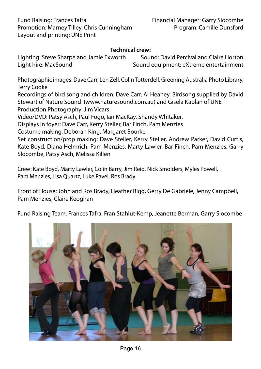#### **Technical crew:**

Lighting: Steve Sharpe and Jamie Exworth Sound: David Percival and Claire Horton<br>Light hire: MacSound Sound Sound equipment: eXtreme entertainment Sound equipment: eXtreme entertainment

Photographic images: Dave Carr, Len Zell, Colin Totterdell, Greening Australia Photo Library, Terry Cooke

Recordings of bird song and children: Dave Carr, Al Heaney. Birdsong supplied by David Stewart of Nature Sound (www.naturesound.com.au) and Gisela Kaplan of UNE Production Photography: Jim Vicars

Video/DVD: Patsy Asch, Paul Fogo, Ian MacKay, Shandy Whitaker.

Displays in foyer: Dave Carr, Kerry Steller, Bar Finch, Pam Menzies

Costume making: Deborah King, Margaret Bourke

Set construction/prop making: Dave Steller, Kerry Steller, Andrew Parker, David Curtis, Kate Boyd, Diana Helmrich, Pam Menzies, Marty Lawler, Bar Finch, Pam Menzies, Garry Slocombe, Patsy Asch, Melissa Killen

Crew: Kate Boyd, Marty Lawler, Colin Barry, Jim Reid, Nick Smolders, Myles Powell, Pam Menzies, Lisa Quartz, Luke Pavel, Ros Brady

Front of House: John and Ros Brady, Heather Rigg, Gerry De Gabriele, Jenny Campbell, Pam Menzies, Claire Keoghan

Fund Raising Team: Frances Tafra, Fran Stahlut-Kemp, Jeanette Berman, Garry Slocombe

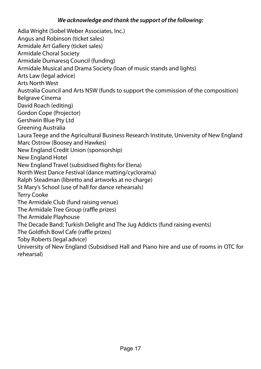#### **We acknowledge and thank the support of the following:**

Adia Wright (Sobel Weber Associates, Inc.) Angus and Robinson (ticket sales) Armidale Art Gallery (ticket sales) Armidale Choral Society Armidale Dumaresq Council (funding) Armidale Musical and Drama Society (loan of music stands and lights) Arts Law (legal advice) Arts North West Australia Council and Arts NSW (funds to support the commission of the composition) Belgrave Cinema David Roach (editing) Gordon Cope (Projector) Gershwin Blue Pty Ltd Greening Australia Laura Teege and the Agricultural Business Research Institute, University of New England Marc Ostrow (Boosey and Hawkes) New England Credit Union (sponsorship) New England Hotel New England Travel (subsidised flights for Elena) North West Dance Festival (dance matting/cyclorama) Ralph Steadman (libretto and artworks at no charge) St Mary's School (use of hall for dance rehearsals) Terry Cooke The Armidale Club (fund raising venue) The Armidale Tree Group (raffle prizes) The Armidale Playhouse The Decade Band; Turkish Delight and The Jug Addicts (fund raising events) The Goldfish Bowl Cafe (raffle prizes) Toby Roberts (legal advice) University of New England (Subsidised Hall and Piano hire and use of rooms in OTC for rehearsal)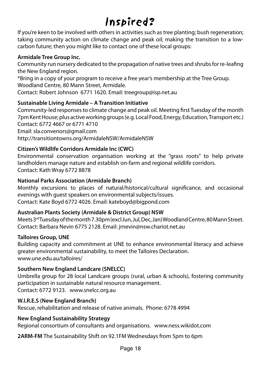## Inspired?

If you're keen to be involved with others in activities such as tree planting; bush regeneration; taking community action on climate change and peak oil; making the transition to a lowcarbon future; then you might like to contact one of these local groups:

#### **Armidale Tree Group Inc.**

Community run nursery dedicated to the propagation of native trees and shrubs for re-leafing the New England region.

\*Bring in a copy of your program to receive a free year's membership at the Tree Group. Woodland Centre, 80 Mann Street, Armidale.

Contact: Robert Johnson 6771 1620. Email: treegroup@isp.net.au

#### **Sustainable Living Armidale – A Transition Initiative**

Community-led responses to climate change and peak oil. Meeting first Tuesday of the month 7pm Kent House; plus active working groups (e.g. Local Food, Energy, Education, Transport etc.) Contact: 6772 4667 or 6771 4710

Email: sla.convenors@gmail.com http://transitiontowns.org/ArmidaleNSW/ArmidaleNSW

#### **Citizen's Wildlife Corridors Armidale Inc (CWC)**

Environmental conservation organisation working at the "grass roots" to help private landholders manage nature and establish on-farm and regional wildlife corridors. Contact: Kath Wray 6772 8878

#### **National Parks Association (Armidale Branch)**

Monthly excursions to places of natural/historical/cultural significance, and occasional evenings with guest speakers on environmental subjects/issues. Contact: Kate Boyd 6772 4026. Email: kateboyd@bigpond.com

#### **Australian Plants Society (Armidale & District Group) NSW**

Meets 3<sup>rd</sup> Tuesday of the month 7.30pm (excl Jun, Jul, Dec, Jan) Woodland Centre, 80 Mann Street. Contact: Barbara Nevin 6775 2128. Email: jrnevin@nsw.chariot.net.au

#### **Talloires Group, UNE**

Building capacity and commitment at UNE to enhance environmental literacy and achieve greater environmental sustainability, to meet the Talloires Declaration. www.une.edu.au/talloires/

#### **Southern New England Landcare (SNELCC)**

Umbrella group for 28 local Landcare groups (rural, urban & schools), fostering community participation in sustainable natural resource management.

Contact: 6772 9123. www.snelcc.org.au

#### **W.I.R.E.S (New England Branch)**

Rescue, rehabilitation and release of native animals. Phone: 6778 4994

#### **New England Sustainability Strategy**

Regional consortium of consultants and organisations. www.ness.wikidot.com

**2ARM-FM** The Sustainability Shift on 92.1FM Wednesdays from 5pm to 6pm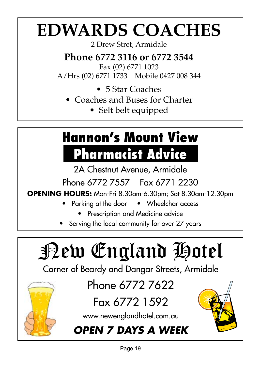# **EDWARDS COACHES**

2 Drew Stret, Armidale

**Phone 6772 3116 or 6772 3544**

Fax (02) 6771 1023

A/Hrs (02) 6771 1733 Mobile 0427 008 344

- $\bullet$  5 Star Coaches
- Coaches and Buses for Charter
	- Selt belt equipped

# **Hannon's Mount View Pharmacist Advice**

2A Chestnut Avenue, Armidale

Phone 6772 7557 Fax 6771 2230

**OPENING HOURS:** Mon-Fri 8.30am-6.30pm; Sat 8.30am-12.30pm

- Parking at the door Wheelchar access
	- Prescription and Medicine advice
- Serving the local community for over 27 years

# New England Hotel

Corner of Beardy and Dangar Streets, Armidale

Phone 6772 7622

## Fax 6772 1592

www.newenglandhotel.com.au

### **OPEN 7 DAYS A WEEK**